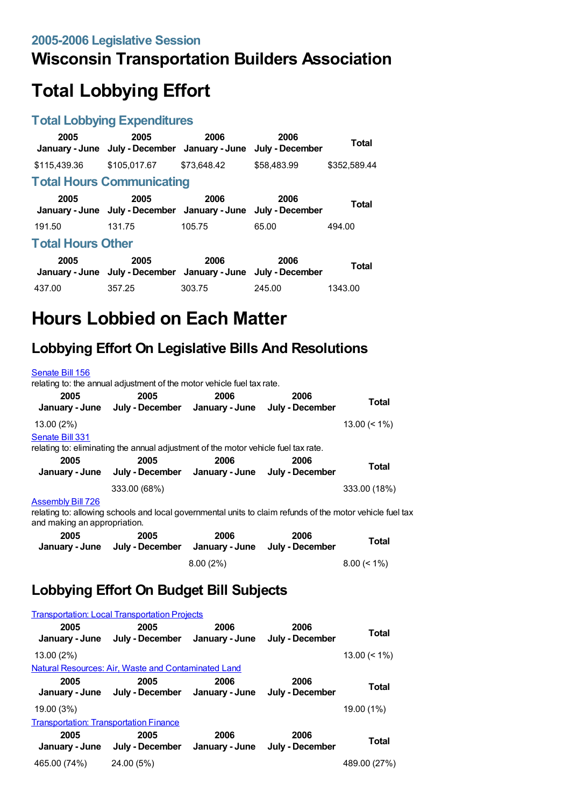## **Wisconsin Transportation Builders Association**

# **Total Lobbying Effort**

#### **Total Lobbying Expenditures**

| 2005                     | 2005<br>January - June July - December January - June | 2006        | 2006<br>July - December | <b>Total</b> |  |
|--------------------------|-------------------------------------------------------|-------------|-------------------------|--------------|--|
| \$115.439.36             | \$105,017.67                                          | \$73,648.42 | \$58,483.99             | \$352,589.44 |  |
|                          | <b>Total Hours Communicating</b>                      |             |                         |              |  |
| 2005                     | 2005<br>January - June July - December January - June | 2006        | 2006<br>July - December | <b>Total</b> |  |
| 191.50                   | 131.75                                                | 105.75      | 65.00                   | 494.00       |  |
| <b>Total Hours Other</b> |                                                       |             |                         |              |  |
| 2005                     | 2005<br>January - June July - December January - June | 2006        | 2006<br>July - December | <b>Total</b> |  |
| 437.00                   | 357.25                                                | 303.75      | 245.00                  | 1343.00      |  |

# **Hours Lobbied on Each Matter**

### **Lobbying Effort On Legislative Bills And Resolutions**

| Senate Bill 156          |                                                                                    |      |                                        |                 |
|--------------------------|------------------------------------------------------------------------------------|------|----------------------------------------|-----------------|
|                          | relating to: the annual adjustment of the motor vehicle fuel tax rate.             |      |                                        |                 |
| 2005<br>January - June   | 2005<br>July - December                                                            | 2006 | 2006<br>January - June July - December | <b>Total</b>    |
| 13.00 (2%)               |                                                                                    |      |                                        | $13.00 \le 1\%$ |
| Senate Bill 331          | relating to: eliminating the annual adjustment of the motor vehicle fuel tax rate. |      |                                        |                 |
| 2005<br>January - June   | 2005<br>July - December                                                            | 2006 | 2006<br>January - June July - December | <b>Total</b>    |
|                          | 333.00 (68%)                                                                       |      |                                        | 333.00 (18%)    |
| <b>Assembly Bill 726</b> |                                                                                    |      |                                        |                 |

relating to: allowing schools and local governmental units to claim refunds of the motor vehicle fuel tax and making an appropriation.

| 2005<br>January - June | 2005<br>July - December January - June | 2006        | 2006<br>July - December | <b>Total</b>   |
|------------------------|----------------------------------------|-------------|-------------------------|----------------|
|                        |                                        | $8.00(2\%)$ |                         | $8.00 \le 1\%$ |

### **Lobbying Effort On Budget Bill Subjects**

| <b>Transportation: Local Transportation Projects</b> |                                                     |                        |                         |                 |  |
|------------------------------------------------------|-----------------------------------------------------|------------------------|-------------------------|-----------------|--|
| 2005<br>January - June                               | 2005<br>July - December                             | 2006<br>January - June | 2006<br>July - December | Total           |  |
| 13.00 (2%)                                           |                                                     |                        |                         | $13.00 \le 1\%$ |  |
|                                                      | Natural Resources: Air, Waste and Contaminated Land |                        |                         |                 |  |
| 2005<br>January - June                               | 2005<br>July - December                             | 2006<br>January - June | 2006<br>July - December | Total           |  |
| 19.00 (3%)                                           |                                                     |                        |                         | 19.00 (1%)      |  |
| <b>Transportation: Transportation Finance</b>        |                                                     |                        |                         |                 |  |
| 2005<br>January - June                               | 2005<br>July - December                             | 2006<br>January - June | 2006<br>July - December | Total           |  |
| 465.00 (74%)                                         | 24.00 (5%)                                          |                        |                         | 489.00 (27%)    |  |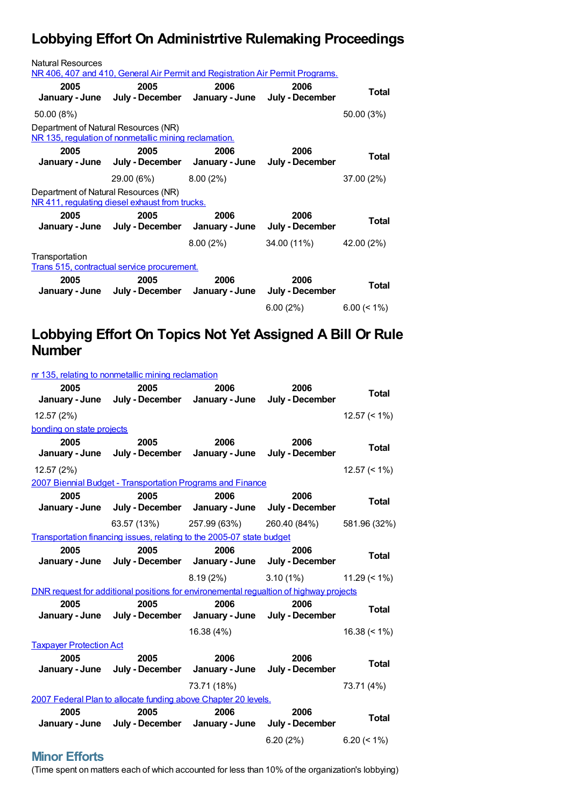## **Lobbying Effort On Administrtive Rulemaking Proceedings**

| <b>Natural Resources</b>                                      | NR 406, 407 and 410, General Air Permit and Registration Air Permit Programs. |          |                         |                |  |
|---------------------------------------------------------------|-------------------------------------------------------------------------------|----------|-------------------------|----------------|--|
| 2005                                                          | 2005<br>January - June July - December January - June July - December         | 2006     | 2006                    | Total          |  |
| 50.00 (8%)                                                    |                                                                               |          |                         | 50.00 (3%)     |  |
| Department of Natural Resources (NR)                          | NR 135, regulation of nonmetallic mining reclamation.                         |          |                         |                |  |
| 2005                                                          | 2005<br>January - June July - December January - June July - December         | 2006     | 2006                    | Total          |  |
|                                                               | 29.00 (6%) 8.00 (2%)                                                          |          |                         | 37.00 (2%)     |  |
| Department of Natural Resources (NR)                          | NR 411, regulating diesel exhaust from trucks.                                |          |                         |                |  |
| 2005                                                          | 2005<br>January - June July - December January - June                         | 2006     | 2006<br>July - December | Total          |  |
|                                                               |                                                                               | 8.00(2%) | 34.00 (11%)             | 42.00 (2%)     |  |
| Transportation<br>Trans 515, contractual service procurement. |                                                                               |          |                         |                |  |
| 2005                                                          | 2005<br>January - June July - December January - June                         | 2006     | 2006<br>July - December | Total          |  |
|                                                               |                                                                               |          | 6.00(2%)                | $6.00 \le 1\%$ |  |

## **Lobbying Effort On Topics Not Yet Assigned A Bill Or Rule Number**

| nr 135, relating to nonmetallic mining reclamation |                                                                                        |                          |                           |                 |
|----------------------------------------------------|----------------------------------------------------------------------------------------|--------------------------|---------------------------|-----------------|
| 2005                                               | 2005                                                                                   | 2006                     | 2006                      | <b>Total</b>    |
|                                                    | January - June July - December January - June July - December                          |                          |                           |                 |
| 12.57 (2%)                                         |                                                                                        |                          |                           | $12.57 \le 1\%$ |
| bonding on state projects                          |                                                                                        |                          |                           |                 |
| 2005                                               | 2005                                                                                   | 2006                     | 2006                      | Total           |
|                                                    | January - June July - December January - June July - December                          |                          |                           |                 |
| 12.57 (2%)                                         |                                                                                        |                          |                           | $12.57 \le 1\%$ |
|                                                    | 2007 Biennial Budget - Transportation Programs and Finance                             |                          |                           |                 |
| 2005                                               | 2005                                                                                   | 2006                     | 2006                      | <b>Total</b>    |
|                                                    | January - June July - December January - June July - December                          |                          |                           |                 |
|                                                    |                                                                                        | 63.57 (13%) 257.99 (63%) | 260.40 (84%) 581.96 (32%) |                 |
|                                                    | Transportation financing issues, relating to the 2005-07 state budget                  |                          |                           |                 |
| 2005                                               | 2005                                                                                   | 2006                     | 2006                      | <b>Total</b>    |
|                                                    | January - June July - December January - June July - December                          |                          |                           |                 |
|                                                    |                                                                                        |                          |                           |                 |
|                                                    |                                                                                        | 8.19(2%)                 | 3.10(1%)                  | $11.29 \le 1\%$ |
|                                                    | DNR request for additional positions for environemental requaltion of highway projects |                          |                           |                 |
| 2005                                               | 2005                                                                                   | 2006                     | 2006                      | <b>Total</b>    |
|                                                    | January - June July - December January - June July - December                          |                          |                           |                 |
|                                                    |                                                                                        | 16.38 (4%)               |                           | $16.38 (< 1\%)$ |
| <b>Taxpayer Protection Act</b>                     |                                                                                        |                          |                           |                 |
| 2005                                               | 2005                                                                                   | 2006                     | 2006                      | <b>Total</b>    |
|                                                    | January - June July - December January - June July - December                          |                          |                           |                 |
|                                                    |                                                                                        | 73.71 (18%)              |                           | 73.71 (4%)      |
|                                                    | 2007 Federal Plan to allocate funding above Chapter 20 levels.                         |                          |                           |                 |
| 2005                                               | 2005                                                                                   | 2006                     | 2006                      | <b>Total</b>    |
|                                                    | January - June July - December January - June July - December                          |                          |                           |                 |

#### **Minor Efforts**

(Time spent on matters each of which accounted for less than 10% of the organization's lobbying)